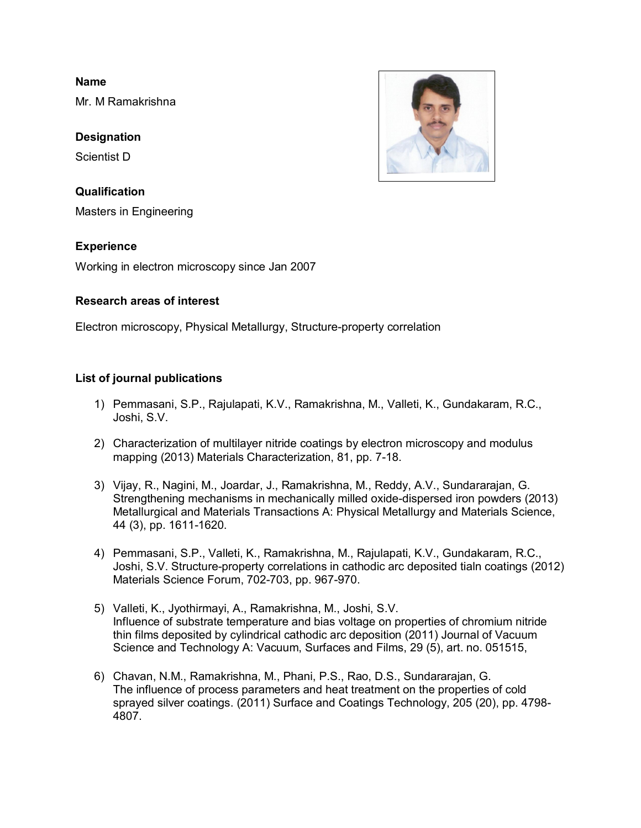**Name**

Mr. M Ramakrishna

**Designation**

Scientist D

**Qualification** Masters in Engineering

## **Experience**

Working in electron microscopy since Jan 2007

## **Research areas of interest**

Electron microscopy, Physical Metallurgy, Structure-property correlation

## **List of journal publications**

- 1) Pemmasani, S.P., Rajulapati, K.V., Ramakrishna, M., Valleti, K., Gundakaram, R.C., Joshi, S.V.
- 2) Characterization of multilayer nitride coatings by electron microscopy and modulus mapping (2013) Materials Characterization, 81, pp. 7-18.
- 3) Vijay, R., Nagini, M., Joardar, J., Ramakrishna, M., Reddy, A.V., Sundararajan, G. Strengthening mechanisms in mechanically milled oxide-dispersed iron powders (2013) Metallurgical and Materials Transactions A: Physical Metallurgy and Materials Science, 44 (3), pp. 1611-1620.
- 4) Pemmasani, S.P., Valleti, K., Ramakrishna, M., Rajulapati, K.V., Gundakaram, R.C., Joshi, S.V. Structure-property correlations in cathodic arc deposited tialn coatings (2012) Materials Science Forum, 702-703, pp. 967-970.
- 5) Valleti, K., Jyothirmayi, A., Ramakrishna, M., Joshi, S.V. Influence of substrate temperature and bias voltage on properties of chromium nitride thin films deposited by cylindrical cathodic arc deposition (2011) Journal of Vacuum Science and Technology A: Vacuum, Surfaces and Films, 29 (5), art. no. 051515,
- 6) Chavan, N.M., Ramakrishna, M., Phani, P.S., Rao, D.S., Sundararajan, G. The influence of process parameters and heat treatment on the properties of cold sprayed silver coatings. (2011) Surface and Coatings Technology, 205 (20), pp. 4798- 4807.